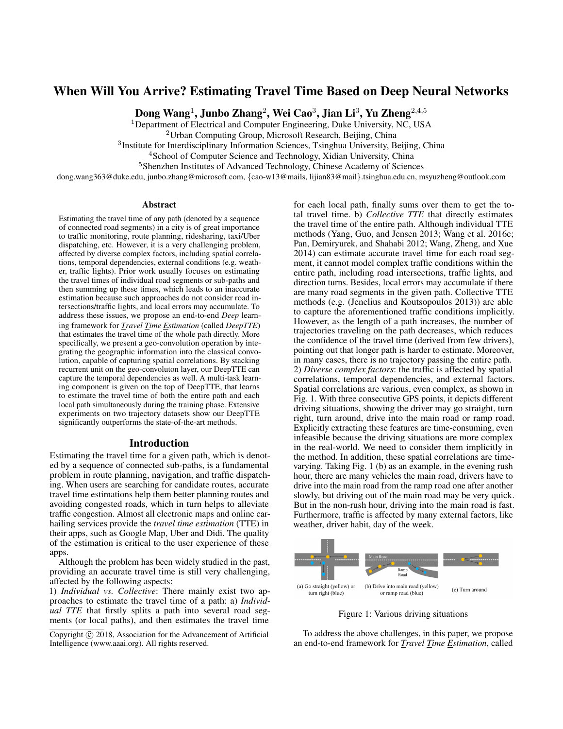# When Will You Arrive? Estimating Travel Time Based on Deep Neural Networks

Dong Wang $^1$ , Junbo Zhang $^2$ , Wei Cao $^3$ , Jian Li $^3$ , Yu Zheng $^{2,4,5}$ 

<sup>1</sup>Department of Electrical and Computer Engineering, Duke University, NC, USA

<sup>2</sup>Urban Computing Group, Microsoft Research, Beijing, China

<sup>3</sup>Institute for Interdisciplinary Information Sciences, Tsinghua University, Beijing, China

<sup>4</sup> School of Computer Science and Technology, Xidian University, China

<sup>5</sup>Shenzhen Institutes of Advanced Technology, Chinese Academy of Sciences

dong.wang363@duke.edu, junbo.zhang@microsoft.com, {cao-w13@mails, lijian83@mail}.tsinghua.edu.cn, msyuzheng@outlook.com

#### Abstract

Estimating the travel time of any path (denoted by a sequence of connected road segments) in a city is of great importance to traffic monitoring, route planning, ridesharing, taxi/Uber dispatching, etc. However, it is a very challenging problem, affected by diverse complex factors, including spatial correlations, temporal dependencies, external conditions (e.g. weather, traffic lights). Prior work usually focuses on estimating the travel times of individual road segments or sub-paths and then summing up these times, which leads to an inaccurate estimation because such approaches do not consider road intersections/traffic lights, and local errors may accumulate. To address these issues, we propose an end-to-end *Deep* learning framework for *Travel Time Estimation* (called *DeepTTE*) that estimates the travel time of the whole path directly. More specifically, we present a geo-convolution operation by integrating the geographic information into the classical convolution, capable of capturing spatial correlations. By stacking recurrent unit on the geo-convoluton layer, our DeepTTE can capture the temporal dependencies as well. A multi-task learning component is given on the top of DeepTTE, that learns to estimate the travel time of both the entire path and each local path simultaneously during the training phase. Extensive experiments on two trajectory datasets show our DeepTTE significantly outperforms the state-of-the-art methods.

#### Introduction

Estimating the travel time for a given path, which is denoted by a sequence of connected sub-paths, is a fundamental problem in route planning, navigation, and traffic dispatching. When users are searching for candidate routes, accurate travel time estimations help them better planning routes and avoiding congested roads, which in turn helps to alleviate traffic congestion. Almost all electronic maps and online carhailing services provide the *travel time estimation* (TTE) in their apps, such as Google Map, Uber and Didi. The quality of the estimation is critical to the user experience of these apps.

Although the problem has been widely studied in the past, providing an accurate travel time is still very challenging, affected by the following aspects:

1) *Individual vs. Collective*: There mainly exist two approaches to estimate the travel time of a path: a) *Individual TTE* that firstly splits a path into several road segments (or local paths), and then estimates the travel time for each local path, finally sums over them to get the total travel time. b) *Collective TTE* that directly estimates the travel time of the entire path. Although individual TTE methods (Yang, Guo, and Jensen 2013; Wang et al. 2016c; Pan, Demiryurek, and Shahabi 2012; Wang, Zheng, and Xue 2014) can estimate accurate travel time for each road segment, it cannot model complex traffic conditions within the entire path, including road intersections, traffic lights, and direction turns. Besides, local errors may accumulate if there are many road segments in the given path. Collective TTE methods (e.g. (Jenelius and Koutsopoulos 2013)) are able to capture the aforementioned traffic conditions implicitly. However, as the length of a path increases, the number of trajectories traveling on the path decreases, which reduces the confidence of the travel time (derived from few drivers), pointing out that longer path is harder to estimate. Moreover, in many cases, there is no trajectory passing the entire path. 2) *Diverse complex factors*: the traffic is affected by spatial correlations, temporal dependencies, and external factors. Spatial correlations are various, even complex, as shown in Fig. 1. With three consecutive GPS points, it depicts different driving situations, showing the driver may go straight, turn right, turn around, drive into the main road or ramp road. Explicitly extracting these features are time-consuming, even infeasible because the driving situations are more complex in the real-world. We need to consider them implicitly in the method. In addition, these spatial correlations are timevarying. Taking Fig. 1 (b) as an example, in the evening rush hour, there are many vehicles the main road, drivers have to drive into the main road from the ramp road one after another slowly, but driving out of the main road may be very quick. But in the non-rush hour, driving into the main road is fast. Furthermore, traffic is affected by many external factors, like weather, driver habit, day of the week.



Figure 1: Various driving situations

To address the above challenges, in this paper, we propose an end-to-end framework for *Travel Time Estimation*, called

Copyright  $\odot$  2018, Association for the Advancement of Artificial Intelligence (www.aaai.org). All rights reserved.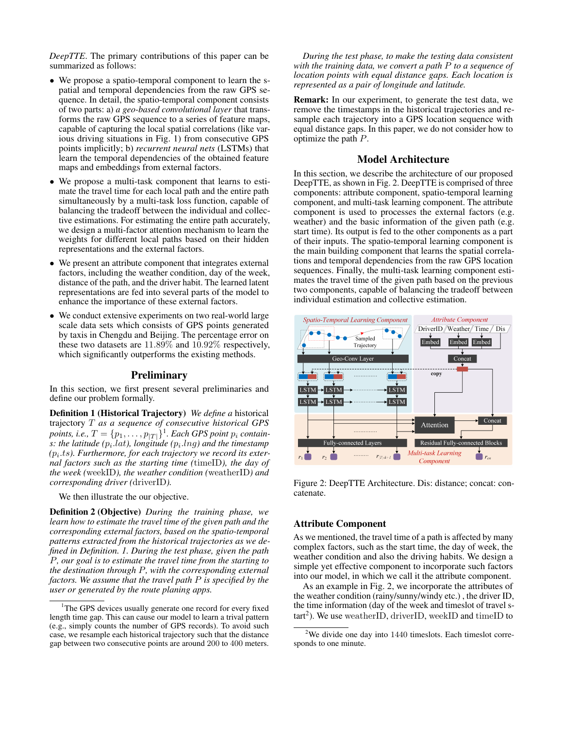*DeepTTE*. The primary contributions of this paper can be summarized as follows:

- We propose a spatio-temporal component to learn the spatial and temporal dependencies from the raw GPS sequence. In detail, the spatio-temporal component consists of two parts: a) *a geo-based convolutional layer* that transforms the raw GPS sequence to a series of feature maps, capable of capturing the local spatial correlations (like various driving situations in Fig. 1) from consecutive GPS points implicitly; b) *recurrent neural nets* (LSTMs) that learn the temporal dependencies of the obtained feature maps and embeddings from external factors.
- We propose a multi-task component that learns to estimate the travel time for each local path and the entire path simultaneously by a multi-task loss function, capable of balancing the tradeoff between the individual and collective estimations. For estimating the entire path accurately, we design a multi-factor attention mechanism to learn the weights for different local paths based on their hidden representations and the external factors.
- We present an attribute component that integrates external factors, including the weather condition, day of the week, distance of the path, and the driver habit. The learned latent representations are fed into several parts of the model to enhance the importance of these external factors.
- We conduct extensive experiments on two real-world large scale data sets which consists of GPS points generated by taxis in Chengdu and Beijing. The percentage error on these two datasets are 11.89% and 10.92% respectively, which significantly outperforms the existing methods.

### **Preliminary**

In this section, we first present several preliminaries and define our problem formally.

Definition 1 (Historical Trajectory) *We define a* historical trajectory T *as a sequence of consecutive historical GPS*  $points, i.e., T = {p_1, \ldots, p_{|T|}}<sup>1</sup>. Each GPS point  $p_i$  contain$  $s$ : the latitude  $(p_i.lat)$ , longitude  $(p_i.lng)$  and the timestamp ( $p_i.ts$ ). Furthermore, for each trajectory we record its exter*nal factors such as the starting time (*timeID*), the day of the week (*weekID*), the weather condition (*weatherID*) and corresponding driver (*driverID*).*

We then illustrate the our objective.

Definition 2 (Objective) *During the training phase, we learn how to estimate the travel time of the given path and the corresponding external factors, based on the spatio-temporal patterns extracted from the historical trajectories as we defined in Definition. 1. During the test phase, given the path* P*, our goal is to estimate the travel time from the starting to the destination through* P*, with the corresponding external factors. We assume that the travel path* P *is specified by the user or generated by the route planing apps.*

*During the test phase, to make the testing data consistent with the training data, we convert a path* P *to a sequence of location points with equal distance gaps. Each location is represented as a pair of longitude and latitude.*

Remark: In our experiment, to generate the test data, we remove the timestamps in the historical trajectories and resample each trajectory into a GPS location sequence with equal distance gaps. In this paper, we do not consider how to optimize the path P.

### Model Architecture

In this section, we describe the architecture of our proposed DeepTTE, as shown in Fig. 2. DeepTTE is comprised of three components: attribute component, spatio-temporal learning component, and multi-task learning component. The attribute component is used to processes the external factors (e.g. weather) and the basic information of the given path (e.g. start time). Its output is fed to the other components as a part of their inputs. The spatio-temporal learning component is the main building component that learns the spatial correlations and temporal dependencies from the raw GPS location sequences. Finally, the multi-task learning component estimates the travel time of the given path based on the previous two components, capable of balancing the tradeoff between individual estimation and collective estimation.



Figure 2: DeepTTE Architecture. Dis: distance; concat: concatenate.

#### Attribute Component

As we mentioned, the travel time of a path is affected by many complex factors, such as the start time, the day of week, the weather condition and also the driving habits. We design a simple yet effective component to incorporate such factors into our model, in which we call it the attribute component.

As an example in Fig. 2, we incorporate the attributes of the weather condition (rainy/sunny/windy etc.) , the driver ID, the time information (day of the week and timeslot of travel s- $\text{tart}^2$ ). We use weather ID, driver ID, week ID and time ID to

<sup>&</sup>lt;sup>1</sup>The GPS devices usually generate one record for every fixed length time gap. This can cause our model to learn a trival pattern (e.g., simply counts the number of GPS records). To avoid such case, we resample each historical trajectory such that the distance gap between two consecutive points are around 200 to 400 meters.

 $2$ We divide one day into 1440 timeslots. Each timeslot corresponds to one minute.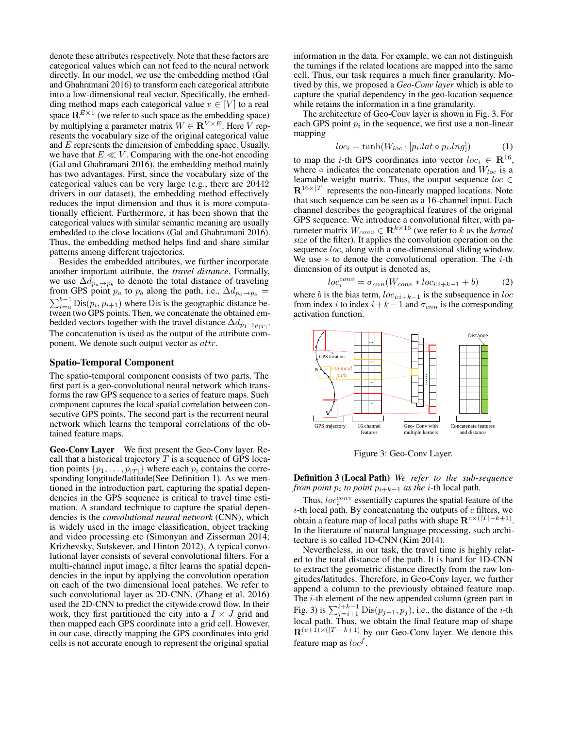denote these attributes respectively. Note that these factors are categorical values which can not feed to the neural network directly. In our model, we use the embedding method (Gal and Ghahramani 2016) to transform each categorical attribute into a low-dimensional real vector. Specifically, the embedding method maps each categorical value  $v \in [V]$  to a real space  $\mathbf{R}^{E\times 1}$  (we refer to such space as the embedding space) by multiplying a parameter matrix  $W \in \mathbb{R}^{V \times E}$ . Here V represents the vocabulary size of the original categorical value and E represents the dimension of embedding space. Usually, we have that  $E \ll V$ . Comparing with the one-hot encoding (Gal and Ghahramani 2016), the embedding method mainly has two advantages. First, since the vocabulary size of the categorical values can be very large (e.g., there are 20442 drivers in our dataset), the embedding method effectively reduces the input dimension and thus it is more computationally efficient. Furthermore, it has been shown that the categorical values with similar semantic meaning are usually embedded to the close locations (Gal and Ghahramani 2016). Thus, the embedding method helps find and share similar patterns among different trajectories.

Besides the embedded attributes, we further incorporate another important attribute, the *travel distance*. Formally, we use  $\Delta d_{p_a \to p_b}$  to denote the total distance of traveling from GPS point  $p_a$  to  $p_b$  along the path, i.e.,  $\Delta d_{p_a \to p_b}$  =  $\sum_{i=a}^{b-1} \text{Dis}(p_i, p_{i+1})$  where Dis is the geographic distance between two GPS points. Then, we concatenate the obtained embedded vectors together with the travel distance  $\Delta d_{p_1 \to p_{|T|}}$ . The concatenation is used as the output of the attribute component. We denote such output vector as attr.

### Spatio-Temporal Component

The spatio-temporal component consists of two parts. The first part is a geo-convolutional neural network which transforms the raw GPS sequence to a series of feature maps. Such component captures the local spatial correlation between consecutive GPS points. The second part is the recurrent neural network which learns the temporal correlations of the obtained feature maps.

Geo-Conv Layer We first present the Geo-Conv layer. Recall that a historical trajectory  $T$  is a sequence of GPS location points  $\{p_1, \ldots, p_{|T|}\}\$  where each  $p_i$  contains the corresponding longitude/latitude(See Definition 1). As we mentioned in the introduction part, capturing the spatial dependencies in the GPS sequence is critical to travel time estimation. A standard technique to capture the spatial dependencies is the *convolutional neural network* (CNN), which is widely used in the image classification, object tracking and video processing etc (Simonyan and Zisserman 2014; Krizhevsky, Sutskever, and Hinton 2012). A typical convolutional layer consists of several convolutional filters. For a multi-channel input image, a filter learns the spatial dependencies in the input by applying the convolution operation on each of the two dimensional local patches. We refer to such convolutional layer as 2D-CNN. (Zhang et al. 2016) used the 2D-CNN to predict the citywide crowd flow. In their work, they first partitioned the city into a  $I \times J$  grid and then mapped each GPS coordinate into a grid cell. However, in our case, directly mapping the GPS coordinates into grid cells is not accurate enough to represent the original spatial information in the data. For example, we can not distinguish the turnings if the related locations are mapped into the same cell. Thus, our task requires a much finer granularity. Motived by this, we proposed a *Geo-Conv layer* which is able to capture the spatial dependency in the geo-location sequence while retains the information in a fine granularity.

The architecture of Geo-Conv layer is shown in Fig. 3. For each GPS point  $p_i$  in the sequence, we first use a non-linear mapping

$$
loc_i = \tanh(W_{loc} \cdot [p_i.lat \circ p_i.lng])
$$
 (1)

to map the *i*-th GPS coordinates into vector  $loc_i \in \mathbb{R}^{16}$ , where  $\circ$  indicates the concatenate operation and  $W_{loc}$  is a learnable weight matrix. Thus, the output sequence  $loc \in$  $\mathbf{R}^{16\times |T|}$  represents the non-linearly mapped locations. Note that such sequence can be seen as a 16-channel input. Each channel describes the geographical features of the original GPS sequence. We introduce a convolutional filter, with parameter matrix  $W_{conv} \in \mathbf{R}^{k \times 16}$  (we refer to  $k$  as the *kernel size* of the filter). It applies the convolution operation on the sequence *loc*, along with a one-dimensional sliding window. We use  $*$  to denote the convolutional operation. The *i*-th dimension of its output is denoted as,

$$
loc_i^{conv} = \sigma_{cnn}(W_{conv} * loc_{i:i+k-1} + b)
$$
 (2)

where b is the bias term,  $loc_{i:i+k-1}$  is the subsequence in loc from index i to index  $i+k-1$  and  $\sigma_{cnn}$  is the corresponding activation function.



Figure 3: Geo-Conv Layer.

Definition 3 (Local Path) *We refer to the sub-sequence from point*  $p_i$  *to point*  $p_{i+k-1}$  *as the i*-th local path.

Thus,  $loc_i^{conv}$  essentially captures the spatial feature of the  $i$ -th local path. By concatenating the outputs of  $c$  filters, we obtain a feature map of local paths with shape  $\mathbf{R}^{c \times (|T| - k + 1)}$ . In the literature of natural language processing, such architecture is so called 1D-CNN (Kim 2014).

Nevertheless, in our task, the travel time is highly related to the total distance of the path. It is hard for 1D-CNN to extract the geometric distance directly from the raw longitudes/latitudes. Therefore, in Geo-Conv layer, we further append a column to the previously obtained feature map. The i-th element of the new appended column (green part in Fig. 3) is  $\sum_{j=i+1}^{i+k-1} \text{Dis}(p_{j-1}, p_j)$ , i.e., the distance of the *i*-th local path. Thus, we obtain the final feature map of shape  $\mathbf{R}^{(c+1)\times(|T|-k+1)}$  by our Geo-Conv layer. We denote this feature map as  $loc<sup>f</sup>$ .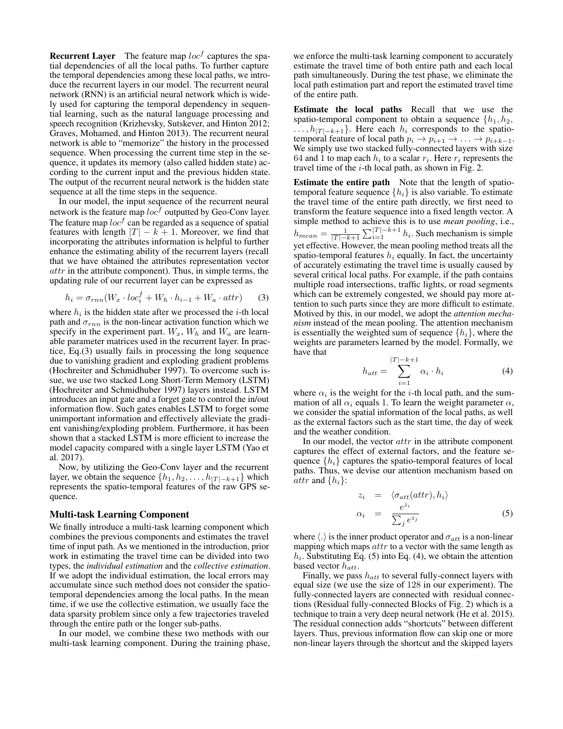**Recurrent Layer** The feature map  $loc<sup>f</sup>$  captures the spatial dependencies of all the local paths. To further capture the temporal dependencies among these local paths, we introduce the recurrent layers in our model. The recurrent neural network (RNN) is an artificial neural network which is widely used for capturing the temporal dependency in sequential learning, such as the natural language processing and speech recognition (Krizhevsky, Sutskever, and Hinton 2012; Graves, Mohamed, and Hinton 2013). The recurrent neural network is able to "memorize" the history in the processed sequence. When processing the current time step in the sequence, it updates its memory (also called hidden state) according to the current input and the previous hidden state. The output of the recurrent neural network is the hidden state sequence at all the time steps in the sequence.

In our model, the input sequence of the recurrent neural network is the feature map  $loc<sup>f</sup>$  outputted by Geo-Conv layer. The feature map  $loc<sup>f</sup>$  can be regarded as a sequence of spatial features with length  $|T| - k + 1$ . Moreover, we find that incorporating the attributes information is helpful to further enhance the estimating ability of the recurrent layers (recall that we have obtained the attributes representation vector attr in the attribute component). Thus, in simple terms, the updating rule of our recurrent layer can be expressed as

$$
h_i = \sigma_{rnn}(W_x \cdot loc_i^f + W_h \cdot h_{i-1} + W_a \cdot attr)
$$
 (3)

where  $h_i$  is the hidden state after we processed the *i*-th local path and  $\sigma_{rnn}$  is the non-linear activation function which we specify in the experiment part.  $W_x$ ,  $W_h$  and  $W_a$  are learnable parameter matrices used in the recurrent layer. In practice, Eq.(3) usually fails in processing the long sequence due to vanishing gradient and exploding gradient problems (Hochreiter and Schmidhuber 1997). To overcome such issue, we use two stacked Long Short-Term Memory (LSTM) (Hochreiter and Schmidhuber 1997) layers instead. LSTM introduces an input gate and a forget gate to control the in/out information flow. Such gates enables LSTM to forget some unimportant information and effectively alleviate the gradient vanishing/exploding problem. Furthermore, it has been shown that a stacked LSTM is more efficient to increase the model capacity compared with a single layer LSTM (Yao et al. 2017).

Now, by utilizing the Geo-Conv layer and the recurrent layer, we obtain the sequence  $\{h_1, h_2, \ldots, h_{|T|=k+1}\}\$  which represents the spatio-temporal features of the raw GPS sequence.

#### Multi-task Learning Component

We finally introduce a multi-task learning component which combines the previous components and estimates the travel time of input path. As we mentioned in the introduction, prior work in estimating the travel time can be divided into two types, the *individual estimation* and the *collective estimation*. If we adopt the individual estimation, the local errors may accumulate since such method does not consider the spatiotemporal dependencies among the local paths. In the mean time, if we use the collective estimation, we usually face the data sparsity problem since only a few trajectories traveled through the entire path or the longer sub-paths.

In our model, we combine these two methods with our multi-task learning component. During the training phase, we enforce the multi-task learning component to accurately estimate the travel time of both entire path and each local path simultaneously. During the test phase, we eliminate the local path estimation part and report the estimated travel time of the entire path.

Estimate the local paths Recall that we use the spatio-temporal component to obtain a sequence  $\{h_1, h_2,$  $\ldots$ ,  $h_{|T|-k+1}$ . Here each  $h_i$  corresponds to the spatiotemporal feature of local path  $p_i \rightarrow p_{i+1} \rightarrow \ldots \rightarrow p_{i+k-1}$ . We simply use two stacked fully-connected layers with size 64 and 1 to map each  $h_i$  to a scalar  $r_i$ . Here  $r_i$  represents the travel time of the  $i$ -th local path, as shown in Fig. 2.

Estimate the entire path Note that the length of spatiotemporal feature sequence  $\{h_i\}$  is also variable. To estimate the travel time of the entire path directly, we first need to transform the feature sequence into a fixed length vector. A simple method to achieve this is to use *mean pooling*, i.e.,  $h_{mean} = \frac{1}{|T|-k+1} \sum_{i=1}^{|T|-k+1} h_i$ . Such mechanism is simple yet effective. However, the mean pooling method treats all the spatio-temporal features  $h_i$  equally. In fact, the uncertainty of accurately estimating the travel time is usually caused by several critical local paths. For example, if the path contains multiple road intersections, traffic lights, or road segments which can be extremely congested, we should pay more attention to such parts since they are more difficult to estimate. Motived by this, in our model, we adopt the *attention mechanism* instead of the mean pooling. The attention mechanism is essentially the weighted sum of sequence  $\{h_i\}$ , where the weights are parameters learned by the model. Formally, we have that

$$
h_{att} = \sum_{i=1}^{|T|-k+1} \alpha_i \cdot h_i \tag{4}
$$

where  $\alpha_i$  is the weight for the *i*-th local path, and the summation of all  $\alpha_i$  equals 1. To learn the weight parameter  $\alpha$ , we consider the spatial information of the local paths, as well as the external factors such as the start time, the day of week and the weather condition.

In our model, the vector  $attr$  in the attribute component captures the effect of external factors, and the feature sequence  $\{h_i\}$  captures the spatio-temporal features of local paths. Thus, we devise our attention mechanism based on *attr* and  $\{h_i\}$ :

$$
z_i = \langle \sigma_{att}(attr), h_i \rangle
$$
  
\n
$$
\alpha_i = \frac{e^{z_i}}{\sum_j e^{z_j}}
$$
\n(5)

where  $\langle . \rangle$  is the inner product operator and  $\sigma_{att}$  is a non-linear mapping which maps  $attr$  to a vector with the same length as  $h_i$ . Substituting Eq. (5) into Eq. (4), we obtain the attention based vector  $h_{att}$ .

Finally, we pass  $h_{att}$  to several fully-connect layers with equal size (we use the size of 128 in our experiment). The fully-connected layers are connected with residual connections (Residual fully-connected Blocks of Fig. 2) which is a technique to train a very deep neural network (He et al. 2015). The residual connection adds "shortcuts" between different layers. Thus, previous information flow can skip one or more non-linear layers through the shortcut and the skipped layers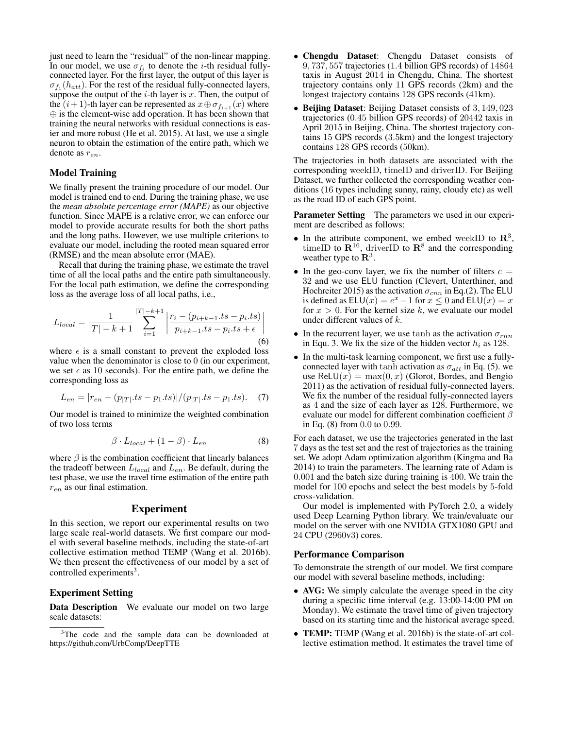just need to learn the "residual" of the non-linear mapping. In our model, we use  $\sigma_{f_i}$  to denote the *i*-th residual fullyconnected layer. For the first layer, the output of this layer is  $\sigma_{f_1}(h_{att})$ . For the rest of the residual fully-connected layers, suppose the output of the  $i$ -th layer is x. Then, the output of the  $(i+1)$ -th layer can be represented as  $x \oplus \sigma_{f_{i+1}}(x)$  where ⊕ is the element-wise add operation. It has been shown that training the neural networks with residual connections is easier and more robust (He et al. 2015). At last, we use a single neuron to obtain the estimation of the entire path, which we denote as  $r_{en}$ .

### Model Training

We finally present the training procedure of our model. Our model is trained end to end. During the training phase, we use the *mean absolute percentage error (MAPE)* as our objective function. Since MAPE is a relative error, we can enforce our model to provide accurate results for both the short paths and the long paths. However, we use multiple criterions to evaluate our model, including the rooted mean squared error (RMSE) and the mean absolute error (MAE).

Recall that during the training phase, we estimate the travel time of all the local paths and the entire path simultaneously. For the local path estimation, we define the corresponding loss as the average loss of all local paths, i.e.,

$$
L_{local} = \frac{1}{|T| - k + 1} \sum_{i=1}^{|T| - k + 1} \left| \frac{r_i - (p_{i+k-1}.ts - p_i.ts)}{p_{i+k-1}.ts - p_i.ts + \epsilon} \right|
$$
(6)

where  $\epsilon$  is a small constant to prevent the exploded loss value when the denominator is close to 0 (in our experiment, we set  $\epsilon$  as 10 seconds). For the entire path, we define the corresponding loss as

$$
L_{en} = |r_{en} - (p_{|T|}.ts - p_1.ts)|/(p_{|T|}.ts - p_1.ts).
$$
 (7)

Our model is trained to minimize the weighted combination of two loss terms

$$
\beta \cdot L_{local} + (1 - \beta) \cdot L_{en} \tag{8}
$$

where  $\beta$  is the combination coefficient that linearly balances the tradeoff between  $L_{local}$  and  $L_{en}$ . Be default, during the test phase, we use the travel time estimation of the entire path  $r_{en}$  as our final estimation.

### Experiment

In this section, we report our experimental results on two large scale real-world datasets. We first compare our model with several baseline methods, including the state-of-art collective estimation method TEMP (Wang et al. 2016b). We then present the effectiveness of our model by a set of controlled experiments<sup>3</sup>.

### Experiment Setting

Data Description We evaluate our model on two large scale datasets:

- Chengdu Dataset: Chengdu Dataset consists of 9, 737, 557 trajectories (1.4 billion GPS records) of 14864 taxis in August 2014 in Chengdu, China. The shortest trajectory contains only 11 GPS records (2km) and the longest trajectory contains 128 GPS records (41km).
- Beijing Dataset: Beijing Dataset consists of 3, 149, 023 trajectories (0.45 billion GPS records) of 20442 taxis in April 2015 in Beijing, China. The shortest trajectory contains 15 GPS records (3.5km) and the longest trajectory contains 128 GPS records (50km).

The trajectories in both datasets are associated with the corresponding weekID, timeID and driverID. For Beijing Dataset, we further collected the corresponding weather conditions (16 types including sunny, rainy, cloudy etc) as well as the road ID of each GPS point.

Parameter Setting The parameters we used in our experiment are described as follows:

- In the attribute component, we embed weekID to  $\mathbb{R}^3$ , timeID to  $\mathbb{R}^{16}$ , driverID to  $\mathbb{R}^{8}$  and the corresponding weather type to  $\mathbb{R}^3$ .
- In the geo-conv layer, we fix the number of filters  $c =$ 32 and we use ELU function (Clevert, Unterthiner, and Hochreiter 2015) as the activation  $\sigma_{cnn}$  in Eq.(2). The ELU is defined as  $ELU(x) = e^x - 1$  for  $x \le 0$  and  $ELU(x) = x$ for  $x > 0$ . For the kernel size k, we evaluate our model under different values of k.
- In the recurrent layer, we use tanh as the activation  $\sigma_{rnn}$ in Equ. 3. We fix the size of the hidden vector  $h_i$  as 128.
- In the multi-task learning component, we first use a fullyconnected layer with tanh activation as  $\sigma_{att}$  in Eq. (5). we use ReLU $(x) = \max(0, x)$  (Glorot, Bordes, and Bengio 2011) as the activation of residual fully-connected layers. We fix the number of the residual fully-connected layers as 4 and the size of each layer as 128. Furthermore, we evaluate our model for different combination coefficient  $\beta$ in Eq. (8) from 0.0 to 0.99.

For each dataset, we use the trajectories generated in the last 7 days as the test set and the rest of trajectories as the training set. We adopt Adam optimization algorithm (Kingma and Ba 2014) to train the parameters. The learning rate of Adam is 0.001 and the batch size during training is 400. We train the model for 100 epochs and select the best models by 5-fold cross-validation.

Our model is implemented with PyTorch 2.0, a widely used Deep Learning Python library. We train/evaluate our model on the server with one NVIDIA GTX1080 GPU and 24 CPU (2960v3) cores.

#### Performance Comparison

To demonstrate the strength of our model. We first compare our model with several baseline methods, including:

- AVG: We simply calculate the average speed in the city during a specific time interval (e.g. 13:00-14:00 PM on Monday). We estimate the travel time of given trajectory based on its starting time and the historical average speed.
- **TEMP:** TEMP (Wang et al. 2016b) is the state-of-art collective estimation method. It estimates the travel time of

<sup>&</sup>lt;sup>3</sup>The code and the sample data can be downloaded at https://github.com/UrbComp/DeepTTE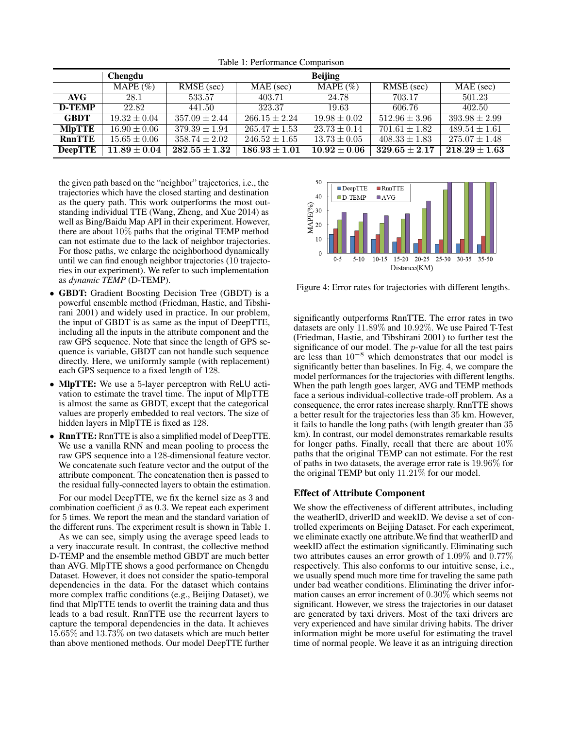|                | Chengdu          |                                     |                   | <b>Beijing</b>   |                   |                   |
|----------------|------------------|-------------------------------------|-------------------|------------------|-------------------|-------------------|
|                | MAPE $(\% )$     | RMSE (sec)                          | $MAE$ (sec)       | MAPE $(\% )$     | RMSE (sec)        | MAE (sec)         |
| AVG-           | 28.1             | 533.57                              | 403.71            | 24.78            | 703.17            | 501.23            |
| <b>D-TEMP</b>  | 22.82            | 441.50                              | 323.37            | 19.63            | 606.76            | 402.50            |
| <b>GBDT</b>    | $19.32 \pm 0.04$ | $357.09 \pm 2.44$                   | $266.15 \pm 2.24$ | $19.98 \pm 0.02$ | $512.96 \pm 3.96$ | $393.98 \pm 2.99$ |
| <b>MIpTTE</b>  | $16.90 \pm 0.06$ | $379.39 \pm 1.94$                   | $265.47 \pm 1.53$ | $23.73 \pm 0.14$ | $701.61 \pm 1.82$ | $489.54 \pm 1.61$ |
| <b>RnnTTE</b>  | $15.65 \pm 0.06$ | $358.74 \pm 2.02$                   | $246.52 \pm 1.65$ | $13.73 \pm 0.05$ | $408.33 \pm 1.83$ | $275.07 \pm 1.48$ |
| <b>DeepTTE</b> | $11.89\pm0.04$   | $\mathbf{282.55} \pm \mathbf{1.32}$ | $186.93 \pm 1.01$ | $10.92 \pm 0.06$ | $329.65 \pm 2.17$ | $218.29 \pm 1.63$ |

Table 1: Performance Comparison

the given path based on the "neighbor" trajectories, i.e., the trajectories which have the closed starting and destination as the query path. This work outperforms the most outstanding individual TTE (Wang, Zheng, and Xue 2014) as well as Bing/Baidu Map API in their experiment. However, there are about 10% paths that the original TEMP method can not estimate due to the lack of neighbor trajectories. For those paths, we enlarge the neighborhood dynamically until we can find enough neighbor trajectories (10 trajectories in our experiment). We refer to such implementation as *dynamic TEMP* (D-TEMP).

- GBDT: Gradient Boosting Decision Tree (GBDT) is a powerful ensemble method (Friedman, Hastie, and Tibshirani 2001) and widely used in practice. In our problem, the input of GBDT is as same as the input of DeepTTE, including all the inputs in the attribute component and the raw GPS sequence. Note that since the length of GPS sequence is variable, GBDT can not handle such sequence directly. Here, we uniformly sample (with replacement) each GPS sequence to a fixed length of 128.
- MlpTTE: We use a 5-layer perceptron with ReLU activation to estimate the travel time. The input of MlpTTE is almost the same as GBDT, except that the categorical values are properly embedded to real vectors. The size of hidden layers in MlpTTE is fixed as 128.
- **RnnTTE:** RnnTTE is also a simplified model of DeepTTE. We use a vanilla RNN and mean pooling to process the raw GPS sequence into a 128-dimensional feature vector. We concatenate such feature vector and the output of the attribute component. The concatenation then is passed to the residual fully-connected layers to obtain the estimation.

For our model DeepTTE, we fix the kernel size as 3 and combination coefficient  $\beta$  as 0.3. We repeat each experiment for 5 times. We report the mean and the standard variation of the different runs. The experiment result is shown in Table 1.

As we can see, simply using the average speed leads to a very inaccurate result. In contrast, the collective method D-TEMP and the ensemble method GBDT are much better than AVG. MlpTTE shows a good performance on Chengdu Dataset. However, it does not consider the spatio-temporal dependencies in the data. For the dataset which contains more complex traffic conditions (e.g., Beijing Dataset), we find that MlpTTE tends to overfit the training data and thus leads to a bad result. RnnTTE use the recurrent layers to capture the temporal dependencies in the data. It achieves 15.65% and 13.73% on two datasets which are much better than above mentioned methods. Our model DeepTTE further



Figure 4: Error rates for trajectories with different lengths.

significantly outperforms RnnTTE. The error rates in two datasets are only 11.89% and 10.92%. We use Paired T-Test (Friedman, Hastie, and Tibshirani 2001) to further test the significance of our model. The p-value for all the test pairs are less than  $10^{-8}$  which demonstrates that our model is significantly better than baselines. In Fig. 4, we compare the model performances for the trajectories with different lengths. When the path length goes larger, AVG and TEMP methods face a serious individual-collective trade-off problem. As a consequence, the error rates increase sharply. RnnTTE shows a better result for the trajectories less than 35 km. However, it fails to handle the long paths (with length greater than 35 km). In contrast, our model demonstrates remarkable results for longer paths. Finally, recall that there are about 10% paths that the original TEMP can not estimate. For the rest of paths in two datasets, the average error rate is 19.96% for the original TEMP but only 11.21% for our model.

### Effect of Attribute Component

We show the effectiveness of different attributes, including the weatherID, driverID and weekID. We devise a set of controlled experiments on Beijing Dataset. For each experiment, we eliminate exactly one attribute.We find that weatherID and weekID affect the estimation significantly. Eliminating such two attributes causes an error growth of 1.09% and 0.77% respectively. This also conforms to our intuitive sense, i.e., we usually spend much more time for traveling the same path under bad weather conditions. Eliminating the driver information causes an error increment of 0.30% which seems not significant. However, we stress the trajectories in our dataset are generated by taxi drivers. Most of the taxi drivers are very experienced and have similar driving habits. The driver information might be more useful for estimating the travel time of normal people. We leave it as an intriguing direction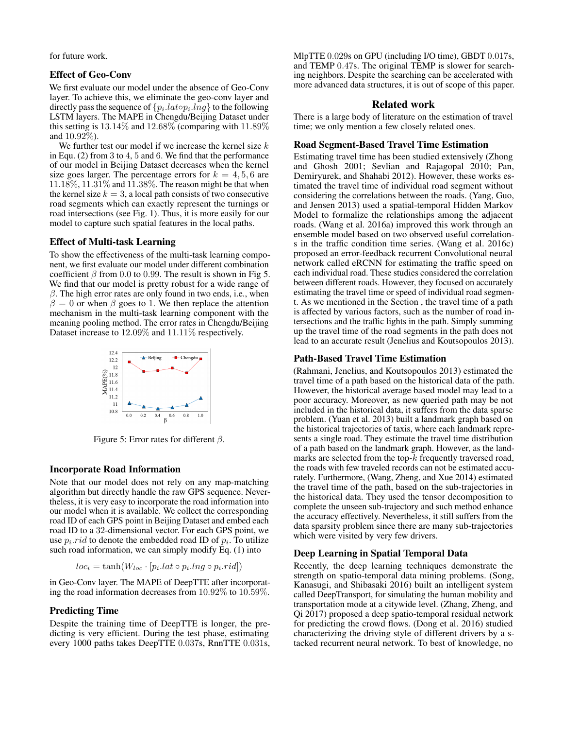for future work.

### Effect of Geo-Conv

We first evaluate our model under the absence of Geo-Conv layer. To achieve this, we eliminate the geo-conv layer and directly pass the sequence of  $\{p_i.lat \circ p_i.lng\}$  to the following LSTM layers. The MAPE in Chengdu/Beijing Dataset under this setting is  $13.14\%$  and  $12.68\%$  (comparing with  $11.89\%$ and  $10.92\%$ ).

We further test our model if we increase the kernel size  $k$ in Equ. (2) from 3 to 4, 5 and 6. We find that the performance of our model in Beijing Dataset decreases when the kernel size goes larger. The percentage errors for  $k = 4, 5, 6$  are 11.18%, 11.31% and 11.38%. The reason might be that when the kernel size  $k = 3$ , a local path consists of two consecutive road segments which can exactly represent the turnings or road intersections (see Fig. 1). Thus, it is more easily for our model to capture such spatial features in the local paths.

### Effect of Multi-task Learning

To show the effectiveness of the multi-task learning component, we first evaluate our model under different combination coefficient  $\beta$  from 0.0 to 0.99. The result is shown in Fig 5. We find that our model is pretty robust for a wide range of  $\beta$ . The high error rates are only found in two ends, i.e., when  $\beta = 0$  or when  $\beta$  goes to 1. We then replace the attention mechanism in the multi-task learning component with the meaning pooling method. The error rates in Chengdu/Beijing Dataset increase to 12.09% and 11.11% respectively.



Figure 5: Error rates for different  $\beta$ .

### Incorporate Road Information

Note that our model does not rely on any map-matching algorithm but directly handle the raw GPS sequence. Nevertheless, it is very easy to incorporate the road information into our model when it is available. We collect the corresponding road ID of each GPS point in Beijing Dataset and embed each road ID to a 32-dimensional vector. For each GPS point, we use  $p_i$  *rid* to denote the embedded road ID of  $p_i$ . To utilize such road information, we can simply modify Eq. (1) into

$$
loc_i = \tanh(W_{loc} \cdot [p_i.lat \circ p_i.ing \circ p_i.rid])
$$

in Geo-Conv layer. The MAPE of DeepTTE after incorporating the road information decreases from 10.92% to 10.59%.

### Predicting Time

Despite the training time of DeepTTE is longer, the predicting is very efficient. During the test phase, estimating every 1000 paths takes DeepTTE 0.037s, RnnTTE 0.031s, MlpTTE 0.029s on GPU (including I/O time), GBDT 0.017s, and TEMP 0.47s. The original TEMP is slower for searching neighbors. Despite the searching can be accelerated with more advanced data structures, it is out of scope of this paper.

### Related work

There is a large body of literature on the estimation of travel time; we only mention a few closely related ones.

#### Road Segment-Based Travel Time Estimation

Estimating travel time has been studied extensively (Zhong and Ghosh 2001; Sevlian and Rajagopal 2010; Pan, Demiryurek, and Shahabi 2012). However, these works estimated the travel time of individual road segment without considering the correlations between the roads. (Yang, Guo, and Jensen 2013) used a spatial-temporal Hidden Markov Model to formalize the relationships among the adjacent roads. (Wang et al. 2016a) improved this work through an ensemble model based on two observed useful correlations in the traffic condition time series. (Wang et al. 2016c) proposed an error-feedback recurrent Convolutional neural network called eRCNN for estimating the traffic speed on each individual road. These studies considered the correlation between different roads. However, they focused on accurately estimating the travel time or speed of individual road segment. As we mentioned in the Section , the travel time of a path is affected by various factors, such as the number of road intersections and the traffic lights in the path. Simply summing up the travel time of the road segments in the path does not lead to an accurate result (Jenelius and Koutsopoulos 2013).

# Path-Based Travel Time Estimation

(Rahmani, Jenelius, and Koutsopoulos 2013) estimated the travel time of a path based on the historical data of the path. However, the historical average based model may lead to a poor accuracy. Moreover, as new queried path may be not included in the historical data, it suffers from the data sparse problem. (Yuan et al. 2013) built a landmark graph based on the historical trajectories of taxis, where each landmark represents a single road. They estimate the travel time distribution of a path based on the landmark graph. However, as the landmarks are selected from the top-k frequently traversed road, the roads with few traveled records can not be estimated accurately. Furthermore, (Wang, Zheng, and Xue 2014) estimated the travel time of the path, based on the sub-trajectories in the historical data. They used the tensor decomposition to complete the unseen sub-trajectory and such method enhance the accuracy effectively. Nevertheless, it still suffers from the data sparsity problem since there are many sub-trajectories which were visited by very few drivers.

### Deep Learning in Spatial Temporal Data

Recently, the deep learning techniques demonstrate the strength on spatio-temporal data mining problems. (Song, Kanasugi, and Shibasaki 2016) built an intelligent system called DeepTransport, for simulating the human mobility and transportation mode at a citywide level. (Zhang, Zheng, and Qi 2017) proposed a deep spatio-temporal residual network for predicting the crowd flows. (Dong et al. 2016) studied characterizing the driving style of different drivers by a stacked recurrent neural network. To best of knowledge, no